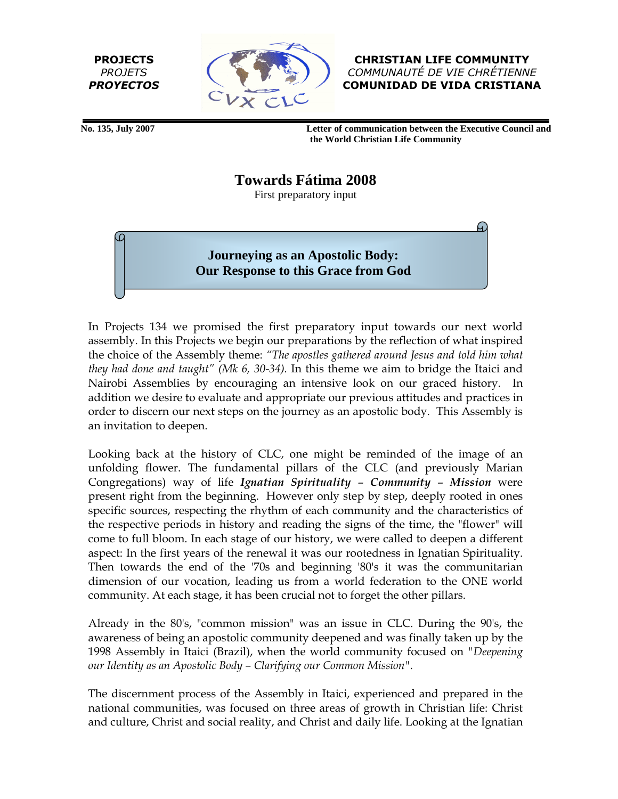PROJECTS PROJETS PROYECTOS



CHRISTIAN LIFE COMMUNITY COMMUNAUTÉ DE VIE CHRÉTIENNE COMUNIDAD DE VIDA CRISTIANA

 **No. 135, July 2007 Letter of communication between the Executive Council and the World Christian Life Community** 

**Towards Fátima 2008** 

First preparatory input

**Journeying as an Apostolic Body: Our Response to this Grace from God** 

In Projects 134 we promised the first preparatory input towards our next world assembly. In this Projects we begin our preparations by the reflection of what inspired the choice of the Assembly theme: "The apostles gathered around Jesus and told him what they had done and taught" (Mk 6, 30-34). In this theme we aim to bridge the Itaici and Nairobi Assemblies by encouraging an intensive look on our graced history. In addition we desire to evaluate and appropriate our previous attitudes and practices in order to discern our next steps on the journey as an apostolic body. This Assembly is an invitation to deepen.

Looking back at the history of CLC, one might be reminded of the image of an unfolding flower. The fundamental pillars of the CLC (and previously Marian Congregations) way of life Ignatian Spirituality – Community – Mission were present right from the beginning. However only step by step, deeply rooted in ones specific sources, respecting the rhythm of each community and the characteristics of the respective periods in history and reading the signs of the time, the "flower" will come to full bloom. In each stage of our history, we were called to deepen a different aspect: In the first years of the renewal it was our rootedness in Ignatian Spirituality. Then towards the end of the '70s and beginning '80's it was the communitarian dimension of our vocation, leading us from a world federation to the ONE world community. At each stage, it has been crucial not to forget the other pillars.

Already in the 80's, "common mission" was an issue in CLC. During the 90's, the awareness of being an apostolic community deepened and was finally taken up by the 1998 Assembly in Itaici (Brazil), when the world community focused on "Deepening our Identity as an Apostolic Body – Clarifying our Common Mission".

The discernment process of the Assembly in Itaici, experienced and prepared in the national communities, was focused on three areas of growth in Christian life: Christ and culture, Christ and social reality, and Christ and daily life. Looking at the Ignatian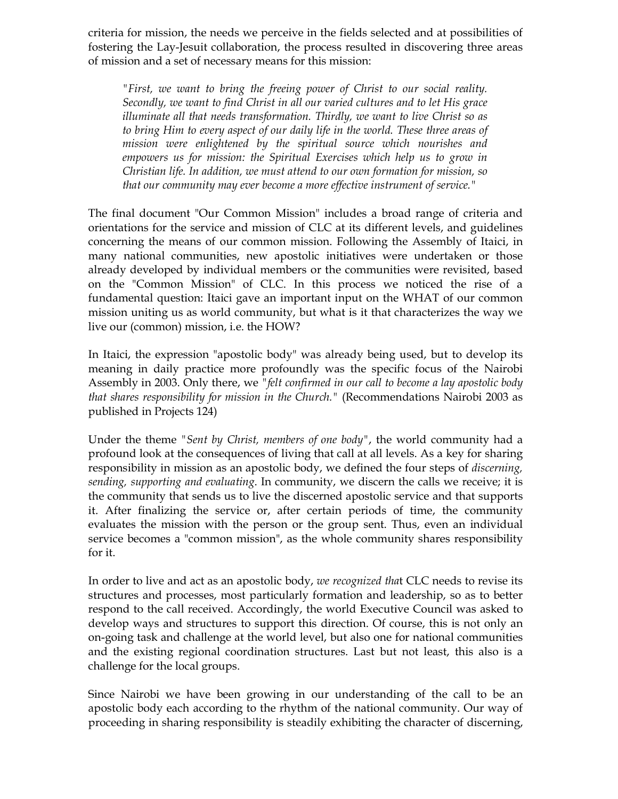criteria for mission, the needs we perceive in the fields selected and at possibilities of fostering the Lay-Jesuit collaboration, the process resulted in discovering three areas of mission and a set of necessary means for this mission:

"First, we want to bring the freeing power of Christ to our social reality. Secondly, we want to find Christ in all our varied cultures and to let His grace illuminate all that needs transformation. Thirdly, we want to live Christ so as to bring Him to every aspect of our daily life in the world. These three areas of mission were enlightened by the spiritual source which nourishes and empowers us for mission: the Spiritual Exercises which help us to grow in Christian life. In addition, we must attend to our own formation for mission, so that our community may ever become a more effective instrument of service."

The final document "Our Common Mission" includes a broad range of criteria and orientations for the service and mission of CLC at its different levels, and guidelines concerning the means of our common mission. Following the Assembly of Itaici, in many national communities, new apostolic initiatives were undertaken or those already developed by individual members or the communities were revisited, based on the "Common Mission" of CLC. In this process we noticed the rise of a fundamental question: Itaici gave an important input on the WHAT of our common mission uniting us as world community, but what is it that characterizes the way we live our (common) mission, i.e. the HOW?

In Itaici, the expression "apostolic body" was already being used, but to develop its meaning in daily practice more profoundly was the specific focus of the Nairobi Assembly in 2003. Only there, we "felt confirmed in our call to become a lay apostolic body that shares responsibility for mission in the Church." (Recommendations Nairobi 2003 as published in Projects 124)

Under the theme "Sent by Christ, members of one body", the world community had a profound look at the consequences of living that call at all levels. As a key for sharing responsibility in mission as an apostolic body, we defined the four steps of discerning, sending, supporting and evaluating. In community, we discern the calls we receive; it is the community that sends us to live the discerned apostolic service and that supports it. After finalizing the service or, after certain periods of time, the community evaluates the mission with the person or the group sent. Thus, even an individual service becomes a "common mission", as the whole community shares responsibility for it.

In order to live and act as an apostolic body, we recognized that CLC needs to revise its structures and processes, most particularly formation and leadership, so as to better respond to the call received. Accordingly, the world Executive Council was asked to develop ways and structures to support this direction. Of course, this is not only an on-going task and challenge at the world level, but also one for national communities and the existing regional coordination structures. Last but not least, this also is a challenge for the local groups.

Since Nairobi we have been growing in our understanding of the call to be an apostolic body each according to the rhythm of the national community. Our way of proceeding in sharing responsibility is steadily exhibiting the character of discerning,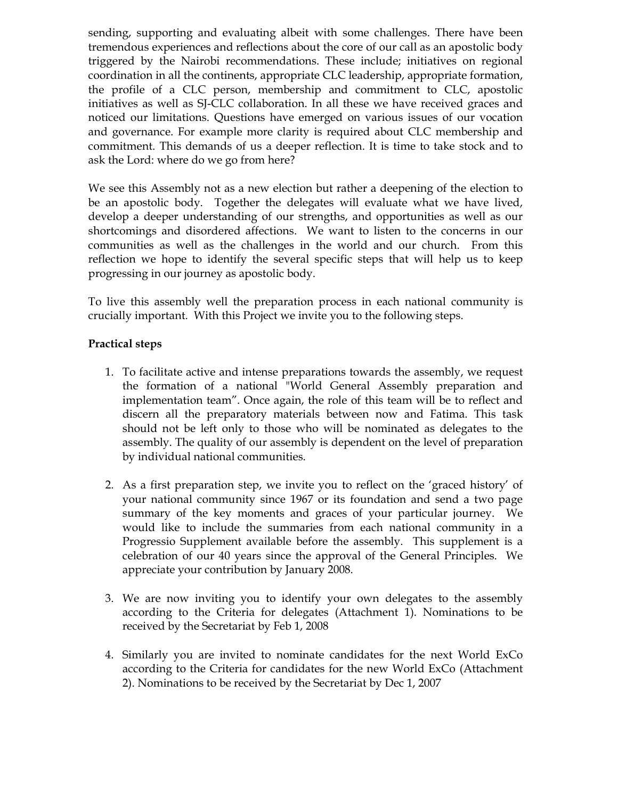sending, supporting and evaluating albeit with some challenges. There have been tremendous experiences and reflections about the core of our call as an apostolic body triggered by the Nairobi recommendations. These include; initiatives on regional coordination in all the continents, appropriate CLC leadership, appropriate formation, the profile of a CLC person, membership and commitment to CLC, apostolic initiatives as well as SJ-CLC collaboration. In all these we have received graces and noticed our limitations. Questions have emerged on various issues of our vocation and governance. For example more clarity is required about CLC membership and commitment. This demands of us a deeper reflection. It is time to take stock and to ask the Lord: where do we go from here?

We see this Assembly not as a new election but rather a deepening of the election to be an apostolic body. Together the delegates will evaluate what we have lived, develop a deeper understanding of our strengths, and opportunities as well as our shortcomings and disordered affections. We want to listen to the concerns in our communities as well as the challenges in the world and our church. From this reflection we hope to identify the several specific steps that will help us to keep progressing in our journey as apostolic body.

To live this assembly well the preparation process in each national community is crucially important. With this Project we invite you to the following steps.

## Practical steps

- 1. To facilitate active and intense preparations towards the assembly, we request the formation of a national "World General Assembly preparation and implementation team". Once again, the role of this team will be to reflect and discern all the preparatory materials between now and Fatima. This task should not be left only to those who will be nominated as delegates to the assembly. The quality of our assembly is dependent on the level of preparation by individual national communities.
- 2. As a first preparation step, we invite you to reflect on the 'graced history' of your national community since 1967 or its foundation and send a two page summary of the key moments and graces of your particular journey. We would like to include the summaries from each national community in a Progressio Supplement available before the assembly. This supplement is a celebration of our 40 years since the approval of the General Principles. We appreciate your contribution by January 2008.
- 3. We are now inviting you to identify your own delegates to the assembly according to the Criteria for delegates (Attachment 1). Nominations to be received by the Secretariat by Feb 1, 2008
- 4. Similarly you are invited to nominate candidates for the next World ExCo according to the Criteria for candidates for the new World ExCo (Attachment 2). Nominations to be received by the Secretariat by Dec 1, 2007